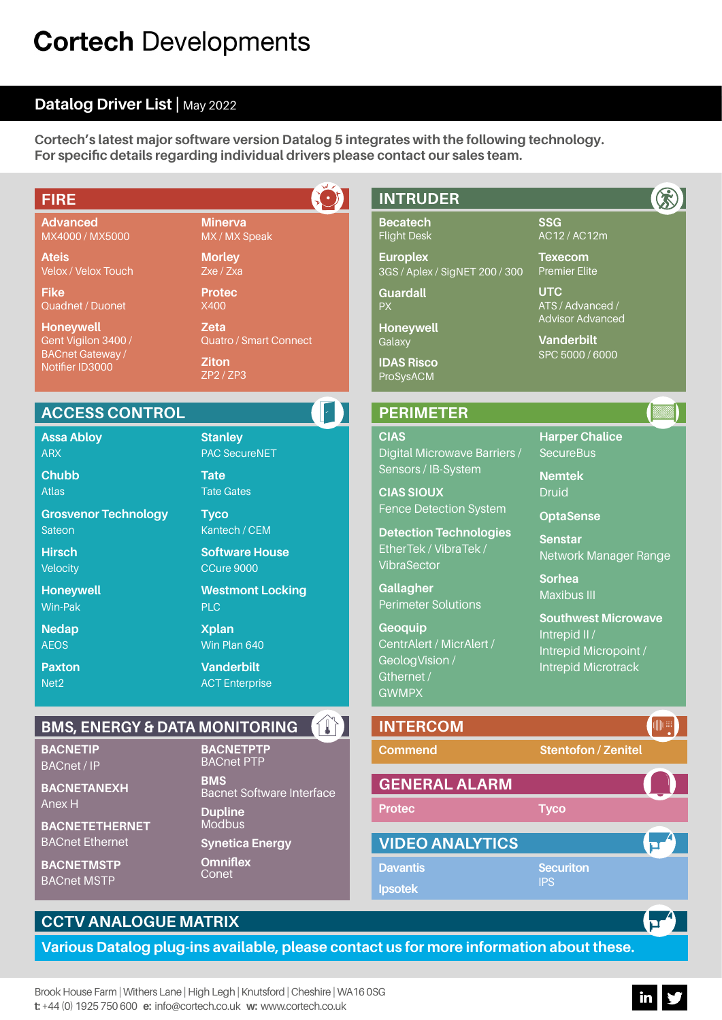# **Cortech Developments**

# **Datalog Driver List |** May 2022

**Cortech's latest major software version Datalog 5 integrates with the following technology. For specific details regarding individual drivers please contact our sales team.**

| <b>FIRE</b>                                                        |                                                              | <b>INTRUDER</b>                                                              |                                                                 |
|--------------------------------------------------------------------|--------------------------------------------------------------|------------------------------------------------------------------------------|-----------------------------------------------------------------|
| <b>Advanced</b><br>MX4000 / MX5000                                 | <b>Minerva</b><br>MX / MX Speak                              | <b>Becatech</b><br><b>Flight Desk</b>                                        | <b>SSG</b><br>AC12 / AC12m                                      |
| <b>Ateis</b><br>Velox / Velox Touch                                | <b>Morley</b><br>Zxe / Zxa                                   | <b>Europlex</b><br>3GS / Aplex / SigNET 200 / 300                            | <b>Texecom</b><br><b>Premier Elite</b>                          |
| <b>Fike</b><br>Quadnet / Duonet                                    | <b>Protec</b><br>X400                                        | <b>Guardall</b><br><b>PX</b>                                                 | <b>UTC</b><br>ATS / Advanced /                                  |
| <b>Honeywell</b><br>Gent Vigilon 3400 /<br><b>BACnet Gateway /</b> | <b>Zeta</b><br><b>Quatro / Smart Connect</b><br><b>Ziton</b> | Honeywell<br>Galaxy<br><b>IDAS Risco</b>                                     | <b>Advisor Advanced</b><br><b>Vanderbilt</b><br>SPC 5000 / 6000 |
| Notifier ID3000                                                    | ZP2 / ZP3                                                    | ProSysACM                                                                    |                                                                 |
| <b>ACCESS CONTROL</b>                                              |                                                              | <b>PERIMETER</b>                                                             |                                                                 |
| <b>Assa Abloy</b><br><b>ARX</b>                                    | <b>Stanley</b><br><b>PAC SecureNET</b>                       | <b>CIAS</b><br>Digital Microwave Barriers /                                  | <b>Harper Chalice</b><br><b>SecureBus</b>                       |
| <b>Chubb</b><br><b>Atlas</b>                                       | <b>Tate</b><br><b>Tate Gates</b>                             | Sensors / IB-System<br><b>CIAS SIOUX</b>                                     | <b>Nemtek</b><br><b>Druid</b>                                   |
| <b>Grosvenor Technology</b>                                        | <b>Tyco</b><br>Kantech / CEM                                 | <b>Fence Detection System</b>                                                | <b>OptaSense</b>                                                |
| <b>Sateon</b><br><b>Hirsch</b><br>Velocity                         | <b>Software House</b><br><b>CCure 9000</b>                   | <b>Detection Technologies</b><br>EtherTek / VibraTek /<br><b>VibraSector</b> | <b>Senstar</b><br>Network Manager Range                         |
| <b>Honeywell</b><br>Win-Pak                                        | <b>Westmont Locking</b><br><b>PLC</b>                        | Gallagher<br><b>Perimeter Solutions</b>                                      | <b>Sorhea</b><br><b>Maxibus III</b>                             |
| <b>Nedap</b><br><b>AEOS</b>                                        | <b>Xplan</b><br>Win Plan 640                                 | Geoquip<br>CentrAlert / MicrAlert /                                          | <b>Southwest Microwave</b><br>Intrepid II/                      |
| <b>Paxton</b><br>Net <sub>2</sub>                                  | <b>Vanderbilt</b><br><b>ACT Enterprise</b>                   | GeologVision /<br>Gthernet /                                                 | Intrepid Micropoint /<br><b>Intrepid Microtrack</b>             |
|                                                                    |                                                              | <b>GWMPX</b>                                                                 |                                                                 |
| <b>BMS, ENERGY &amp; DATA MONITORING</b>                           | <b>I</b> T                                                   | <b>INTERCOM</b>                                                              | $(\blacksquare)$                                                |
| <b>BACNETIP</b><br><b>BACnet / IP</b>                              | <b>BACNETPTP</b><br><b>BACnet PTP</b>                        | Commend                                                                      | <b>Stentofon / Zenitel</b>                                      |
| <b>BACNETANEXH</b><br>Anex H                                       | <b>BMS</b><br><b>Bacnet Software Interface</b>               | <b>GENERAL ALARM</b><br><b>Protec</b>                                        |                                                                 |
| <b>BACNETETHERNET</b><br><b>BACnet Ethernet</b>                    | <b>Dupline</b><br>Modbus<br><b>Synetica Energy</b>           | <b>VIDEO ANALYTICS</b>                                                       | <b>Tyco</b>                                                     |
| <b>BACNETMSTP</b>                                                  | <b>Omniflex</b>                                              | <b>Davantis</b>                                                              | 口<br><b>Securiton</b>                                           |
| <b>BACnet MSTP</b>                                                 | Conet                                                        | <b>Ipsotek</b>                                                               | <b>IPS</b>                                                      |
| <b>CCTV ANALOGUE MATRIX</b>                                        |                                                              |                                                                              |                                                                 |

# **Various Datalog plug-ins available, please contact us for more information about these.**

Brook House Farm | Withers Lane | High Legh | Knutsford | Cheshire | WA16 0SG **t:** +44 (0) 1925 750 600 **e:** info@cortech.co.uk **w:** www.cortech.co.uk